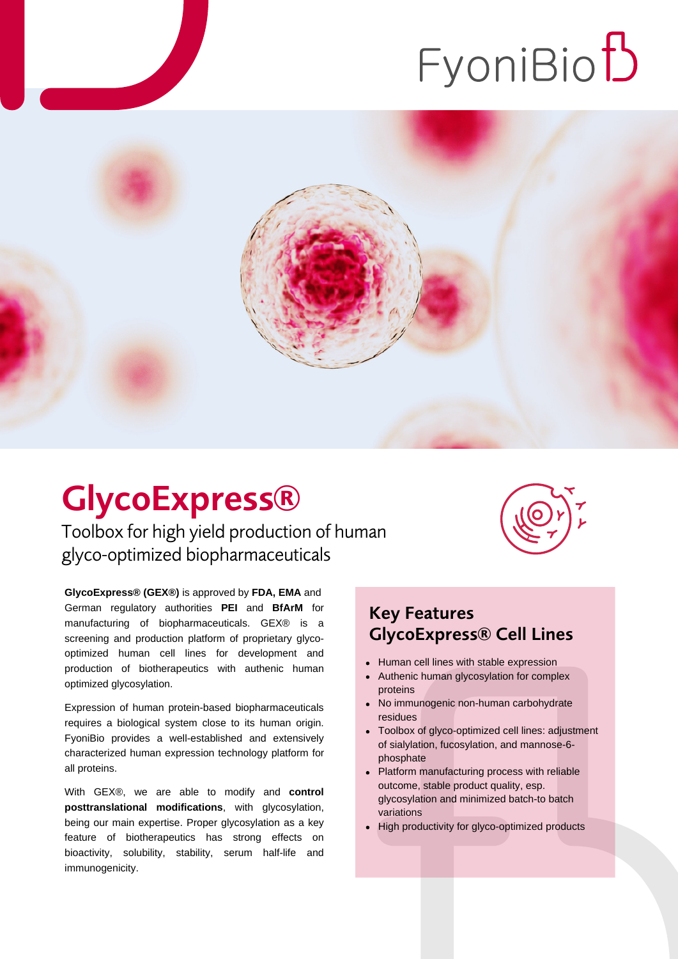# FyoniBio<sup>t</sup>



## GlycoExpress®

Toolbox for high yield production of human glyco-optimized biopharmaceuticals

**GlycoExpress® (GEX®)** is approved by **FDA, EMA** and German regulatory authorities **PEI** and **BfArM** for manufacturing of biopharmaceuticals. GEX® is a screening and production platform of proprietary glycooptimized human cell lines for development and production of biotherapeutics with authenic human optimized glycosylation.

Expression of human protein-based biopharmaceuticals requires a biological system close to its human origin. FyoniBio provides a well-established and extensively characterized human expression technology platform for all proteins.

With GEX®, we are able to modify and **control posttranslational modifications**, with glycosylation, being our main expertise. Proper glycosylation as a key feature of biotherapeutics has strong effects on bioactivity, solubility, stability, serum half-life and immunogenicity.



#### Key Features GlycoExpress® Cell Lines

- Human cell lines with stable expression
- Authenic human glycosylation for complex proteins
- No immunogenic non-human carbohydrate residues
- Toolbox of glyco-optimized cell lines: adjustment of sialylation, fucosylation, and mannose-6 phosphate
- Platform manufacturing process with reliable  $\bullet$ outcome, stable product quality, esp. glycosylation and minimized batch-to batch variations
- High productivity for glyco-optimized products $\bullet$